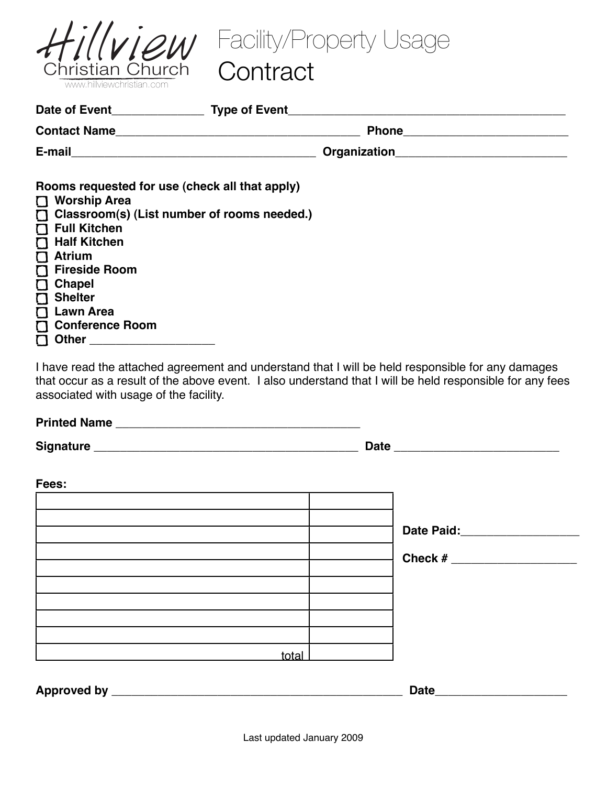

Facility/Property Usage

### **Contract**

| Rooms requested for use (check all that apply)<br>Worship Area<br>$\Box$ Classroom(s) (List number of rooms needed.)<br>$\Gamma$ Full Kitchen<br>Half Kitchen<br>$\prod$ Atrium<br><b>T</b> Fireside Room<br><b>Chapel</b><br>$\Box$<br><b>Shelter</b><br>$\Gamma$<br><b>Lawn Area</b><br>$\mathbf \Pi$<br><b>Conference Room</b><br>Other ______________________ |  |  |
|-------------------------------------------------------------------------------------------------------------------------------------------------------------------------------------------------------------------------------------------------------------------------------------------------------------------------------------------------------------------|--|--|

I have read the attached agreement and understand that I will be held responsible for any damages that occur as a result of the above event. I also understand that I will be held responsible for any fees associated with usage of the facility.

**Printed Name \_\_\_\_\_\_\_\_\_\_\_\_\_\_\_\_\_\_\_\_\_\_\_\_\_\_\_\_\_\_\_\_\_\_\_\_\_ Signature \_\_\_\_\_\_\_\_\_\_\_\_\_\_\_\_\_\_\_\_\_\_\_\_\_\_\_\_\_\_\_\_\_\_\_\_\_\_\_\_ Date \_\_\_\_\_\_\_\_\_\_\_\_\_\_\_\_\_\_\_\_\_\_\_\_\_ Fees:** <u>total</u> Approved by **Automatic Contract of the Contract of Contract of Contract of Contract of Contract of Contract of Contract of Contract of Contract of Contract of Contract of Contract of Contract of Contract of Contract of Con Date Paid:\_\_\_\_\_\_\_\_\_\_\_\_\_\_\_\_\_\_ Check # \_\_\_\_\_\_\_\_\_\_\_\_\_\_\_\_\_\_\_**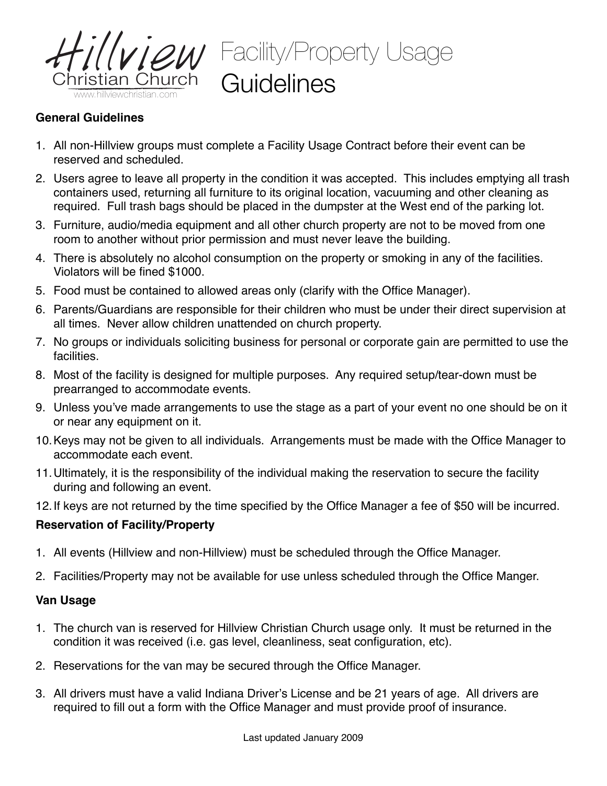

## 2M Facility/Property Usage **Guidelines**

#### **General Guidelines**

- 1. All non-Hillview groups must complete a Facility Usage Contract before their event can be reserved and scheduled.
- 2. Users agree to leave all property in the condition it was accepted. This includes emptying all trash containers used, returning all furniture to its original location, vacuuming and other cleaning as required. Full trash bags should be placed in the dumpster at the West end of the parking lot.
- 3. Furniture, audio/media equipment and all other church property are not to be moved from one room to another without prior permission and must never leave the building.
- 4. There is absolutely no alcohol consumption on the property or smoking in any of the facilities. Violators will be fined \$1000.
- 5. Food must be contained to allowed areas only (clarify with the Office Manager).
- 6. Parents/Guardians are responsible for their children who must be under their direct supervision at all times. Never allow children unattended on church property.
- 7. No groups or individuals soliciting business for personal or corporate gain are permitted to use the facilities.
- 8. Most of the facility is designed for multiple purposes. Any required setup/tear-down must be prearranged to accommodate events.
- 9. Unless you've made arrangements to use the stage as a part of your event no one should be on it or near any equipment on it.
- 10.Keys may not be given to all individuals. Arrangements must be made with the Office Manager to accommodate each event.
- 11.Ultimately, it is the responsibility of the individual making the reservation to secure the facility during and following an event.
- 12.If keys are not returned by the time specified by the Office Manager a fee of \$50 will be incurred.

#### **Reservation of Facility/Property**

- 1. All events (Hillview and non-Hillview) must be scheduled through the Office Manager.
- 2. Facilities/Property may not be available for use unless scheduled through the Office Manger.

#### **Van Usage**

- 1. The church van is reserved for Hillview Christian Church usage only. It must be returned in the condition it was received (i.e. gas level, cleanliness, seat configuration, etc).
- 2. Reservations for the van may be secured through the Office Manager.
- 3. All drivers must have a valid Indiana Driver's License and be 21 years of age. All drivers are required to fill out a form with the Office Manager and must provide proof of insurance.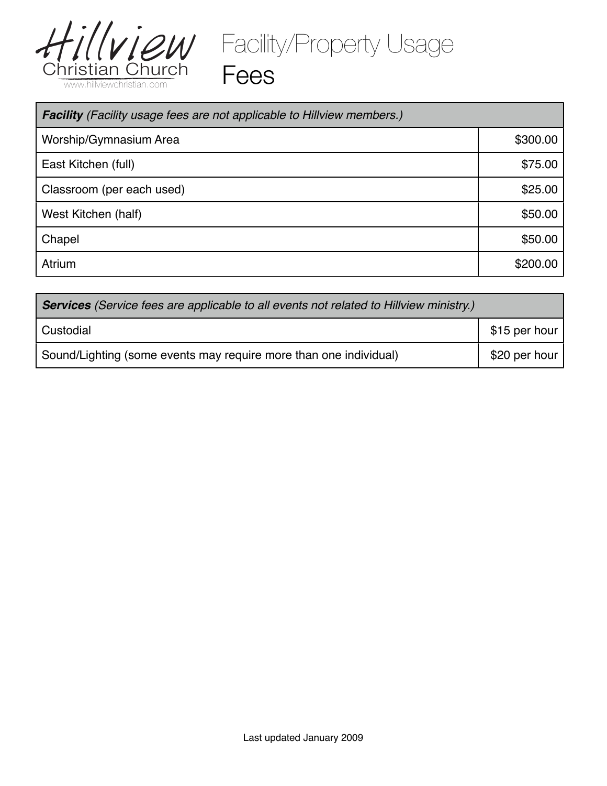

Facility/Property Usage

Fees

| <b>Facility</b> (Facility usage fees are not applicable to Hillview members.) |          |  |
|-------------------------------------------------------------------------------|----------|--|
| Worship/Gymnasium Area                                                        | \$300.00 |  |
| East Kitchen (full)                                                           | \$75.00  |  |
| Classroom (per each used)                                                     | \$25.00  |  |
| West Kitchen (half)                                                           | \$50.00  |  |
| Chapel                                                                        | \$50.00  |  |
| Atrium                                                                        | \$200.00 |  |

| <b>Services</b> (Service fees are applicable to all events not related to Hillview ministry.) |               |  |  |
|-----------------------------------------------------------------------------------------------|---------------|--|--|
| Custodial                                                                                     | \$15 per hour |  |  |
| Sound/Lighting (some events may require more than one individual)                             | \$20 per hour |  |  |